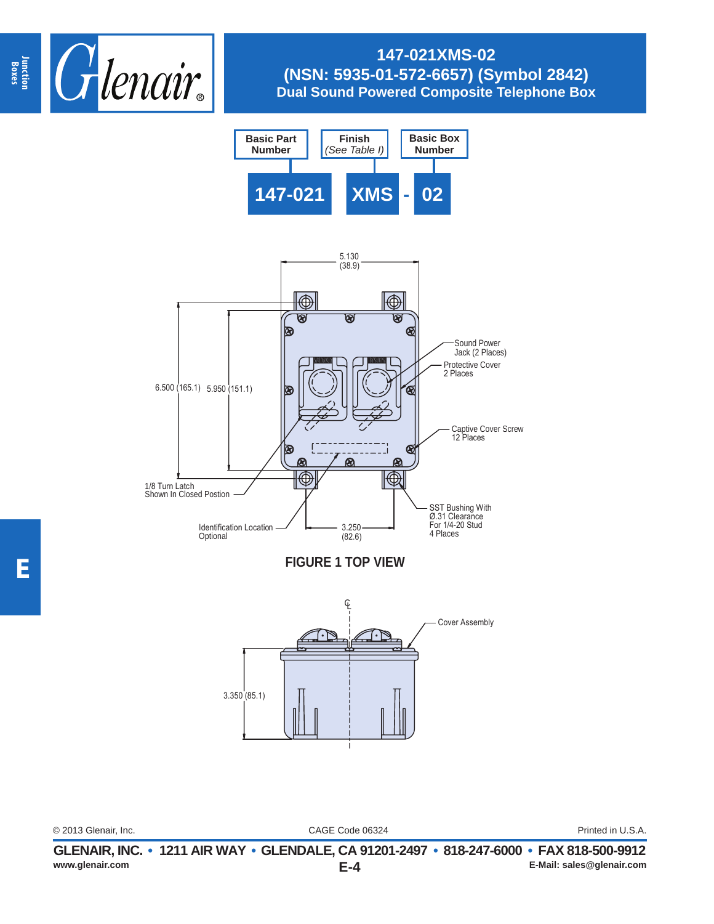

# **147-021XMS-02 (NSN: 5935-01-572-6657) (Symbol 2842) Dual Sound Powered Composite Telephone Box**





**E**

CAGE Code 06324 © 2013 Glenair, Inc. Printed in U.S.A.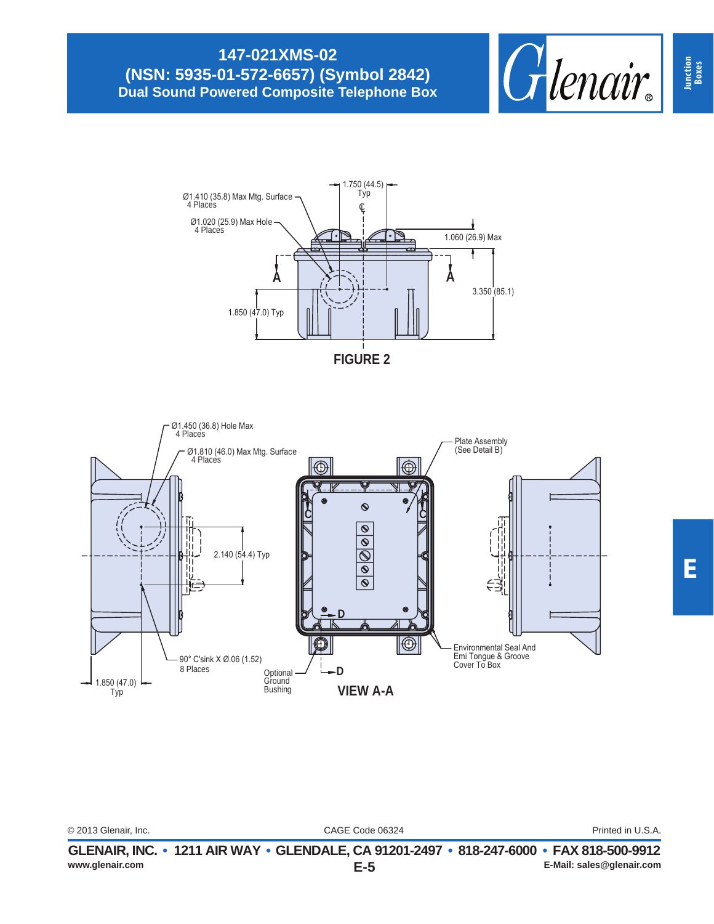## **147-021XMS-02 (NSN: 5935-01-572-6657) (Symbol 2842) Dual Sound Powered Composite Telephone Box**







|                      | ALEMAIN IN A LAMA AIN MIAM ALEMAI E AA AMAM AMT AMA ALT AAAA. EAM AMA EAA AAAA |                   |
|----------------------|--------------------------------------------------------------------------------|-------------------|
| © 2013 Glenair, Inc. | CAGE Code 06324                                                                | Printed in U.S.A. |
|                      |                                                                                |                   |
|                      |                                                                                |                   |

**Junction Boxes**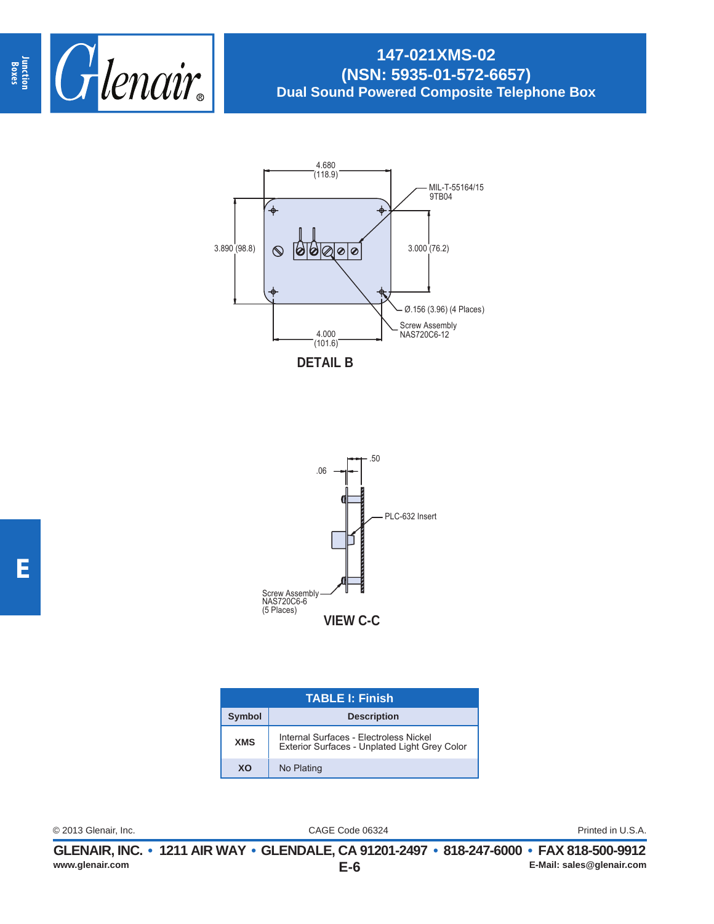

## **147-021XMS-02 (NSN: 5935-01-572-6657) Dual Sound Powered Composite Telephone Box**





| <b>TABLE I: Finish</b> |                                                                                         |  |
|------------------------|-----------------------------------------------------------------------------------------|--|
| <b>Symbol</b>          | <b>Description</b>                                                                      |  |
| <b>XMS</b>             | Internal Surfaces - Electroless Nickel<br>Exterior Surfaces - Unplated Light Grey Color |  |
| XO                     | No Plating                                                                              |  |

CAGE Code 06324 © 2013 Glenair, Inc. Printed in U.S.A.